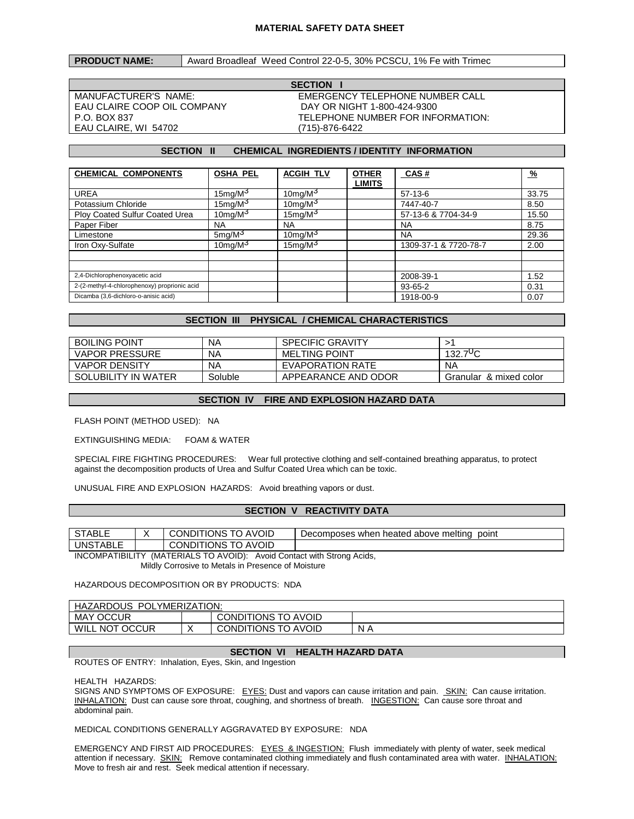## **MATERIAL SAFETY DATA SHEET**

#### **PRODUCT NAME:** Award Broadleaf Weed Control 22-0-5, 30% PCSCU, 1% Fe with Trimec

EAU CLAIRE COOP OIL COMPANY DAY OR NIGHT 1-800-424-9300 EAU CLAIRE, WI 54702 (715)-876-6422

**SECTION I** MANUFACTURER'S NAME: EMERGENCY TELEPHONE NUMBER CALL P.O. BOX 837 TELEPHONE NUMBER FOR INFORMATION:

#### **SECTION II CHEMICAL INGREDIENTS / IDENTITY INFORMATION**

| <b>CHEMICAL COMPONENTS</b>                   | <b>OSHA PEL</b>     | <b>ACGIH TLV</b> | <b>OTHER</b>  | CAS#                  | $\frac{9}{6}$ |
|----------------------------------------------|---------------------|------------------|---------------|-----------------------|---------------|
|                                              |                     |                  | <b>LIMITS</b> |                       |               |
| <b>UREA</b>                                  | 15mg/M <sup>3</sup> | $10$ mg/M $3$    |               | $57-13-6$             | 33.75         |
| Potassium Chloride                           | $15$ mg/M $3$       | $10$ mg/M $3$    |               | 7447-40-7             | 8.50          |
| Ploy Coated Sulfur Coated Urea               | $10$ mg/M $3$       | $15$ mg/M $3$    |               | 57-13-6 & 7704-34-9   | 15.50         |
| Paper Fiber                                  | <b>NA</b>           | <b>NA</b>        |               | <b>NA</b>             | 8.75          |
| Limestone                                    | $5 \text{mq/M}^3$   | $10$ mg/M $3$    |               | <b>NA</b>             | 29.36         |
| Iron Oxy-Sulfate                             | 10mg/ $M3$          | $15$ mg/M $3$    |               | 1309-37-1 & 7720-78-7 | 2.00          |
|                                              |                     |                  |               |                       |               |
|                                              |                     |                  |               |                       |               |
| 2,4-Dichlorophenoxyacetic acid               |                     |                  |               | 2008-39-1             | 1.52          |
| 2-(2-methyl-4-chlorophenoxy) proprionic acid |                     |                  |               | 93-65-2               | 0.31          |
| Dicamba (3,6-dichloro-o-anisic acid)         |                     |                  |               | 1918-00-9             | 0.07          |

## **SECTION III PHYSICAL / CHEMICAL CHARACTERISTICS**

| <b>BOILING POINT</b>  | ΝA      | <b>SPECIFIC GRAVITY</b> |                        |
|-----------------------|---------|-------------------------|------------------------|
| <b>VAPOR PRESSURE</b> | ΝA      | <b>MELTING POINT</b>    | 700<br>132.            |
| <b>VAPOR DENSITY</b>  | ΝA      | EVAPORATION RATE        | <b>NA</b>              |
| SOLUBILITY IN WATER   | Soluble | APPEARANCE AND ODOR     | Granular & mixed color |

# **SECTION IV FIRE AND EXPLOSION HAZARD DATA**

FLASH POINT (METHOD USED): NA

EXTINGUISHING MEDIA: FOAM & WATER

SPECIAL FIRE FIGHTING PROCEDURES: Wear full protective clothing and self-contained breathing apparatus, to protect against the decomposition products of Urea and Sulfur Coated Urea which can be toxic.

UNUSUAL FIRE AND EXPLOSION HAZARDS: Avoid breathing vapors or dust.

#### **SECTION V REACTIVITY DATA**

| STABLL             |  | AVOID<br>CONDITIONS                  | Decomposes when heated above melting<br>point |  |  |
|--------------------|--|--------------------------------------|-----------------------------------------------|--|--|
| <b>UNSTABLE</b>    |  | <b>TO AVOID</b><br><b>CONDITIONS</b> |                                               |  |  |
| $\sim$<br>$\cdots$ |  |                                      |                                               |  |  |

INCOMPATIBILITY (MATERIALS TO AVOID): Avoid Contact with Strong Acids, Mildly Corrosive to Metals in Presence of Moisture

HAZARDOUS DECOMPOSITION OR BY PRODUCTS: NDA

| HAZARDOUS<br>POL,<br>YMERIZATION: |  |                     |     |  |  |
|-----------------------------------|--|---------------------|-----|--|--|
| <b>MAY OCCUR</b>                  |  | CONDITIONS TO AVOID |     |  |  |
| WILL<br><b>NOT OCCUR</b>          |  | CONDITIONS TO AVOID | N A |  |  |

# **SECTION VI HEALTH HAZARD DATA**

ROUTES OF ENTRY: Inhalation, Eyes, Skin, and Ingestion

HEALTH HAZARDS:

SIGNS AND SYMPTOMS OF EXPOSURE: EYES: Dust and vapors can cause irritation and pain. SKIN: Can cause irritation. INHALATION: Dust can cause sore throat, coughing, and shortness of breath. INGESTION: Can cause sore throat and abdominal pain.

MEDICAL CONDITIONS GENERALLY AGGRAVATED BY EXPOSURE: NDA

EMERGENCY AND FIRST AID PROCEDURES: EYES & INGESTION: Flush immediately with plenty of water, seek medical attention if necessary. SKIN: Remove contaminated clothing immediately and flush contaminated area with water. INHALATION: Move to fresh air and rest. Seek medical attention if necessary.